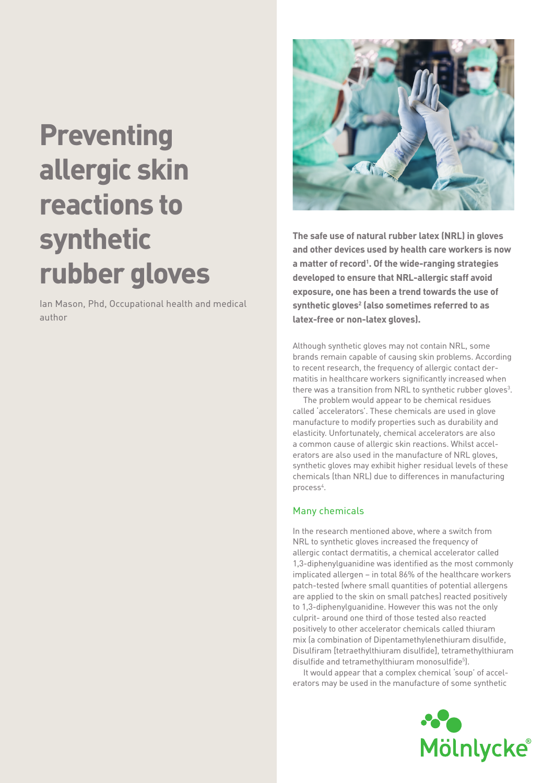# **Preventing allergic skin reactions to synthetic rubber gloves**

Ian Mason, Phd, Occupational health and medical author



**The safe use of natural rubber latex (NRL) in gloves and other devices used by health care workers is now a matter of record1 . Of the wide-ranging strategies developed to ensure that NRL-allergic staff avoid exposure, one has been a trend towards the use of**  synthetic gloves<sup>2</sup> (also sometimes referred to as **latex-free or non-latex gloves).**

Although synthetic gloves may not contain NRL, some brands remain capable of causing skin problems. According to recent research, the frequency of allergic contact dermatitis in healthcare workers significantly increased when there was a transition from NRL to synthetic rubber gloves<sup>3</sup>.

The problem would appear to be chemical residues called 'accelerators'. These chemicals are used in glove manufacture to modify properties such as durability and elasticity. Unfortunately, chemical accelerators are also a common cause of allergic skin reactions. Whilst accelerators are also used in the manufacture of NRL gloves, synthetic gloves may exhibit higher residual levels of these chemicals (than NRL) due to differences in manufacturing process<sup>4</sup>.

## Many chemicals

In the research mentioned above, where a switch from NRL to synthetic gloves increased the frequency of allergic contact dermatitis, a chemical accelerator called 1,3-diphenylguanidine was identified as the most commonly implicated allergen – in total 86% of the healthcare workers patch-tested (where small quantities of potential allergens are applied to the skin on small patches) reacted positively to 1,3-diphenylguanidine. However this was not the only culprit- around one third of those tested also reacted positively to other accelerator chemicals called thiuram mix (a combination of Dipentamethylenethiuram disulfide, Disulfiram [tetraethylthiuram disulfide], tetramethylthiuram disulfide and tetramethylthiuram monosulfide5 ).

It would appear that a complex chemical 'soup' of accelerators may be used in the manufacture of some synthetic